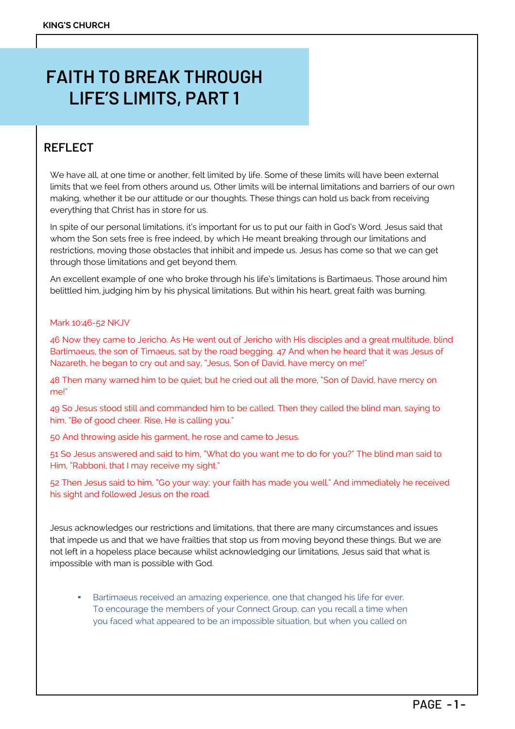# **FAITH TO BREAK THROUGH LIFE'S LIMITS, PART 1**

## **REFLECT**

We have all, at one time or another, felt limited by life. Some of these limits will have been external limits that we feel from others around us, Other limits will be internal limitations and barriers of our own making, whether it be our attitude or our thoughts. These things can hold us back from receiving everything that Christ has in store for us.

In spite of our personal limitations, it's important for us to put our faith in God's Word. Jesus said that whom the Son sets free is free indeed, by which He meant breaking through our limitations and restrictions, moving those obstacles that inhibit and impede us. Jesus has come so that we can get through those limitations and get beyond them.

An excellent example of one who broke through his life's limitations is Bartimaeus. Those around him belittled him, judging him by his physical limitations. But within his heart, great faith was burning.

#### Mark 10:46-52 NKJV

46 Now they came to Jericho. As He went out of Jericho with His disciples and a great multitude, blind Bartimaeus, the son of Timaeus, sat by the road begging. 47 And when he heard that it was Jesus of Nazareth, he began to cry out and say, "Jesus, Son of David, have mercy on me!"

48 Then many warned him to be quiet; but he cried out all the more, "Son of David, have mercy on me!"

49 So Jesus stood still and commanded him to be called. Then they called the blind man, saying to him, "Be of good cheer. Rise, He is calling you."

50 And throwing aside his garment, he rose and came to Jesus.

51 So Jesus answered and said to him, "What do you want me to do for you?" The blind man said to Him, "Rabboni, that I may receive my sight."

52 Then Jesus said to him, "Go your way; your faith has made you well." And immediately he received his sight and followed Jesus on the road.

Jesus acknowledges our restrictions and limitations, that there are many circumstances and issues that impede us and that we have frailties that stop us from moving beyond these things. But we are not left in a hopeless place because whilst acknowledging our limitations, Jesus said that what is impossible with man is possible with God.

• Bartimaeus received an amazing experience, one that changed his life for ever. To encourage the members of your Connect Group, can you recall a time when you faced what appeared to be an impossible situation, but when you called on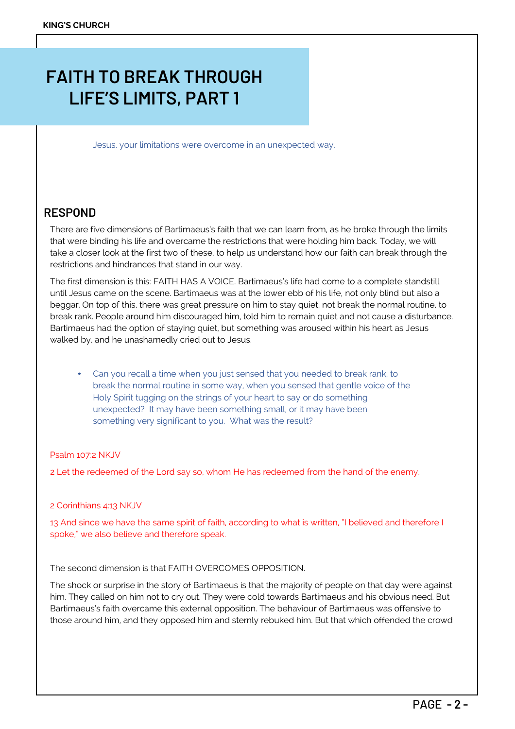# **FAITH TO BREAK THROUGH LIFE'S LIMITS, PART 1**

Jesus, your limitations were overcome in an unexpected way.

### **RESPOND**

There are five dimensions of Bartimaeus's faith that we can learn from, as he broke through the limits that were binding his life and overcame the restrictions that were holding him back. Today, we will take a closer look at the first two of these, to help us understand how our faith can break through the restrictions and hindrances that stand in our way.

The first dimension is this: FAITH HAS A VOICE. Bartimaeus's life had come to a complete standstill until Jesus came on the scene. Bartimaeus was at the lower ebb of his life, not only blind but also a beggar. On top of this, there was great pressure on him to stay quiet, not break the normal routine, to break rank. People around him discouraged him, told him to remain quiet and not cause a disturbance. Bartimaeus had the option of staying quiet, but something was aroused within his heart as Jesus walked by, and he unashamedly cried out to Jesus.

• Can you recall a time when you just sensed that you needed to break rank, to break the normal routine in some way, when you sensed that gentle voice of the Holy Spirit tugging on the strings of your heart to say or do something unexpected? It may have been something small, or it may have been something very significant to you. What was the result?

#### Psalm 107:2 NKJV

2 Let the redeemed of the Lord say so, whom He has redeemed from the hand of the enemy.

#### 2 Corinthians 4:13 NKJV

13 And since we have the same spirit of faith, according to what is written, "I believed and therefore I spoke," we also believe and therefore speak.

The second dimension is that FAITH OVERCOMES OPPOSITION.

The shock or surprise in the story of Bartimaeus is that the majority of people on that day were against him. They called on him not to cry out. They were cold towards Bartimaeus and his obvious need. But Bartimaeus's faith overcame this external opposition. The behaviour of Bartimaeus was offensive to those around him, and they opposed him and sternly rebuked him. But that which offended the crowd